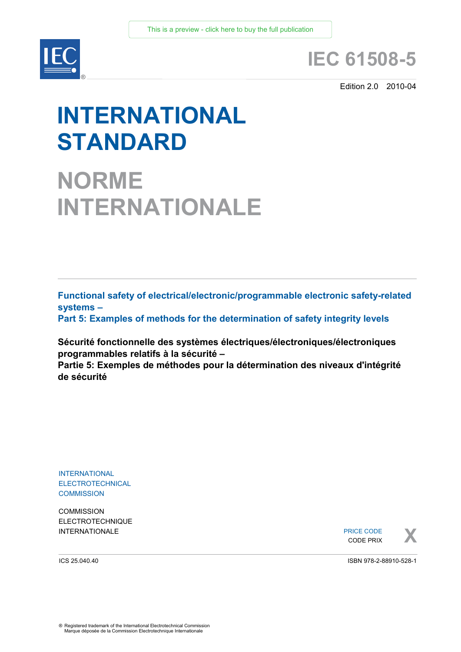

# **IEC 61508-5**

Edition 2.0 2010-04

# **INTERNATIONAL STANDARD**

**NORME INTERNATIONALE**

**Functional safety of electrical/electronic/programmable electronic safety-related systems –** 

**Part 5: Examples of methods for the determination of safety integrity levels** 

**Sécurité fonctionnelle des systèmes électriques/électroniques/électroniques programmables relatifs à la sécurité –** 

**Partie 5: Exemples de méthodes pour la détermination des niveaux d'intégrité de sécurité** 

INTERNATIONAL ELECTROTECHNICAL **COMMISSION** 

**COMMISSION** ELECTROTECHNIQUE

INTERNATIONALE PRICE CODE PRICE CODE PRICE CODE PRICE CODE PRIX PRICE CODE CODE PRIX

ICS 25.040.40

ISBN 978-2-88910-528-1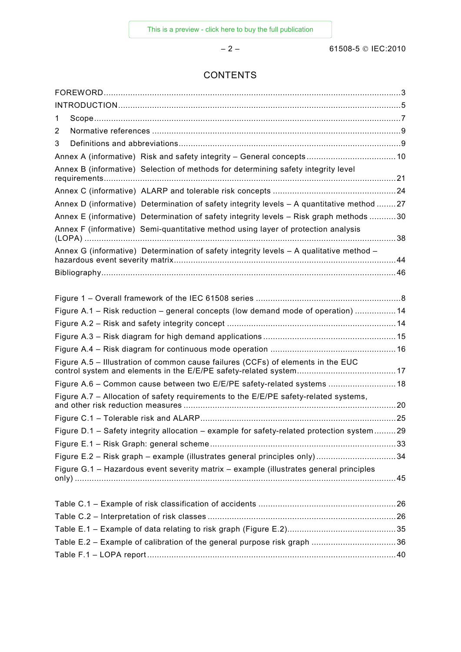## **CONTENTS**

| 1                                                                                         |  |
|-------------------------------------------------------------------------------------------|--|
| 2                                                                                         |  |
| 3                                                                                         |  |
| Annex A (informative) Risk and safety integrity - General concepts 10                     |  |
| Annex B (informative) Selection of methods for determining safety integrity level         |  |
|                                                                                           |  |
| Annex D (informative) Determination of safety integrity levels - A quantitative method 27 |  |
| Annex E (informative) Determination of safety integrity levels - Risk graph methods 30    |  |
| Annex F (informative) Semi-quantitative method using layer of protection analysis         |  |
| Annex G (informative) Determination of safety integrity levels – A qualitative method –   |  |
|                                                                                           |  |
|                                                                                           |  |
| Figure A.1 - Risk reduction - general concepts (low demand mode of operation)  14         |  |
|                                                                                           |  |
|                                                                                           |  |
|                                                                                           |  |
| Figure A.5 – Illustration of common cause failures (CCFs) of elements in the EUC          |  |
| Figure A.6 - Common cause between two E/E/PE safety-related systems  18                   |  |
| Figure A.7 - Allocation of safety requirements to the E/E/PE safety-related systems,      |  |
|                                                                                           |  |
| Figure D.1 - Safety integrity allocation - example for safety-related protection system29 |  |
|                                                                                           |  |
| Figure E.2 - Risk graph - example (illustrates general principles only)34                 |  |
| Figure G.1 - Hazardous event severity matrix - example (illustrates general principles    |  |
|                                                                                           |  |
|                                                                                           |  |
|                                                                                           |  |
|                                                                                           |  |
|                                                                                           |  |
|                                                                                           |  |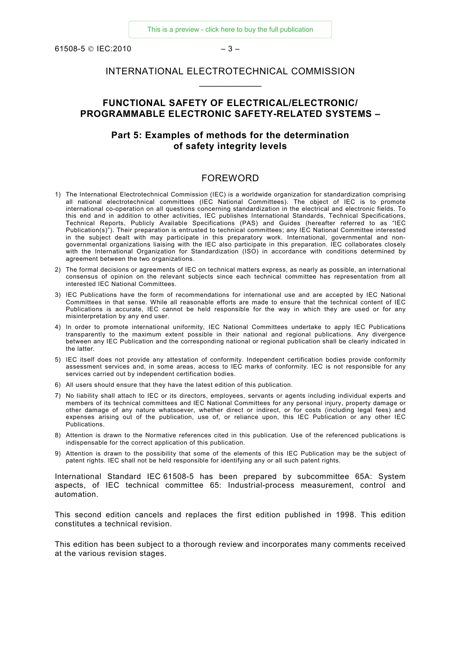<span id="page-2-0"></span> $61508-5$  © IFC: 2010 – 3 –

#### INTERNATIONAL ELECTROTECHNICAL COMMISSION  $\frac{1}{2}$  ,  $\frac{1}{2}$  ,  $\frac{1}{2}$  ,  $\frac{1}{2}$  ,  $\frac{1}{2}$  ,  $\frac{1}{2}$

#### **FUNCTIONAL SAFETY OF ELECTRICAL/ELECTRONIC/ PROGRAMMABLE ELECTRONIC SAFETY-RELATED SYSTEMS –**

#### **Part 5: Examples of methods for the determination of safety integrity levels**

#### FOREWORD

- 1) The International Electrotechnical Commission (IEC) is a worldwide organization for standardization comprising all national electrotechnical committees (IEC National Committees). The object of IEC is to promote international co-operation on all questions concerning standardization in the electrical and electronic fields. To this end and in addition to other activities, IEC publishes International Standards, Technical Specifications, Technical Reports, Publicly Available Specifications (PAS) and Guides (hereafter referred to as "IEC Publication(s)"). Their preparation is entrusted to technical committees; any IEC National Committee interested in the subject dealt with may participate in this preparatory work. International, governmental and nongovernmental organizations liaising with the IEC also participate in this preparation. IEC collaborates closely with the International Organization for Standardization (ISO) in accordance with conditions determined by agreement between the two organizations.
- 2) The formal decisions or agreements of IEC on technical matters express, as nearly as possible, an international consensus of opinion on the relevant subjects since each technical committee has representation from all interested IEC National Committees.
- 3) IEC Publications have the form of recommendations for international use and are accepted by IEC National Committees in that sense. While all reasonable efforts are made to ensure that the technical content of IEC Publications is accurate, IEC cannot be held responsible for the way in which they are used or for any misinterpretation by any end user.
- 4) In order to promote international uniformity, IEC National Committees undertake to apply IEC Publications transparently to the maximum extent possible in their national and regional publications. Any divergence between any IEC Publication and the corresponding national or regional publication shall be clearly indicated in the latter.
- 5) IEC itself does not provide any attestation of conformity. Independent certification bodies provide conformity assessment services and, in some areas, access to IEC marks of conformity. IEC is not responsible for any services carried out by independent certification bodies.
- 6) All users should ensure that they have the latest edition of this publication.
- 7) No liability shall attach to IEC or its directors, employees, servants or agents including individual experts and members of its technical committees and IEC National Committees for any personal injury, property damage or other damage of any nature whatsoever, whether direct or indirect, or for costs (including legal fees) and expenses arising out of the publication, use of, or reliance upon, this IEC Publication or any other IEC Publications.
- 8) Attention is drawn to the Normative references cited in this publication. Use of the referenced publications is indispensable for the correct application of this publication.
- 9) Attention is drawn to the possibility that some of the elements of this IEC Publication may be the subject of patent rights. IEC shall not be held responsible for identifying any or all such patent rights.

International Standard IEC 61508-5 has been prepared by subcommittee 65A: System aspects, of IEC technical committee 65: Industrial-process measurement, control and automation.

This second edition cancels and replaces the first edition published in 1998. This edition constitutes a technical revision.

This edition has been subject to a thorough review and incorporates many comments received at the various revision stages.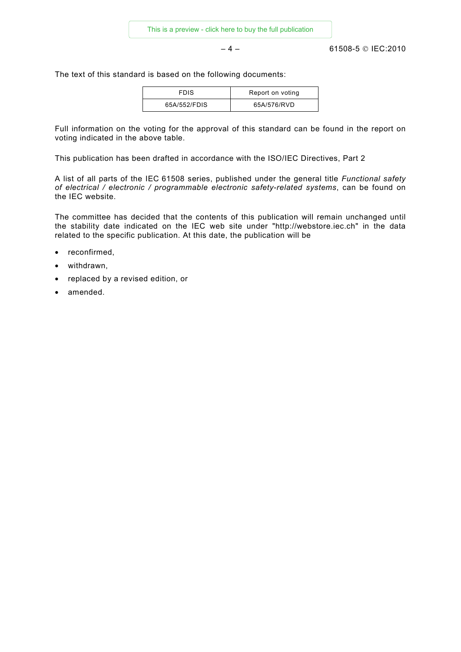$-4 - 61508 - 5 \circ \text{IEC:}2010$ 

The text of this standard is based on the following documents:

| <b>FDIS</b>  | Report on voting |
|--------------|------------------|
| 65A/552/FDIS | 65A/576/RVD      |

Full information on the voting for the approval of this standard can be found in the report on voting indicated in the above table.

This publication has been drafted in accordance with the ISO/IEC Directives, Part 2

A list of all parts of the IEC 61508 series, published under the general title *Functional safety of electrical / electronic / programmable electronic safety-related systems*, can be found on the IEC website.

The committee has decided that the contents of this publication will remain unchanged until the stability date indicated on the IEC web site under "http://webstore.iec.ch" in the data related to the specific publication. At this date, the publication will be

- reconfirmed,
- withdrawn,
- replaced by a revised edition, or
- amended.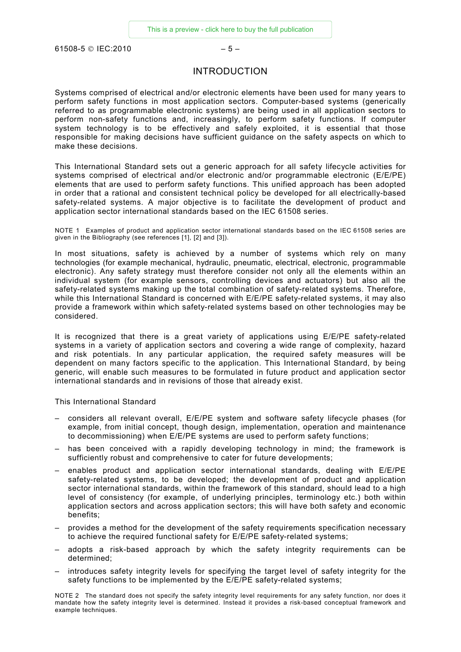<span id="page-4-0"></span> $61508-5$  © IFC: 2010 – 5 –

#### INTRODUCTION

Systems comprised of electrical and/or electronic elements have been used for many years to perform safety functions in most application sectors. Computer-based systems (generically referred to as programmable electronic systems) are being used in all application sectors to perform non-safety functions and, increasingly, to perform safety functions. If computer system technology is to be effectively and safely exploited, it is essential that those responsible for making decisions have sufficient guidance on the safety aspects on which to make these decisions.

This International Standard sets out a generic approach for all safety lifecycle activities for systems comprised of electrical and/or electronic and/or programmable electronic (E/E/PE) elements that are used to perform safety functions. This unified approach has been adopted in order that a rational and consistent technical policy be developed for all electrically-based safety-related systems. A major objective is to facilitate the development of product and application sector international standards based on the IEC 61508 series.

NOTE 1 Examples of product and application sector international standards based on the IEC 61508 series are given in the Bibliography (see references [1], [2] and [3]).

In most situations, safety is achieved by a number of systems which rely on many technologies (for example mechanical, hydraulic, pneumatic, electrical, electronic, programmable electronic). Any safety strategy must therefore consider not only all the elements within an individual system (for example sensors, controlling devices and actuators) but also all the safety-related systems making up the total combination of safety-related systems. Therefore, while this International Standard is concerned with E/E/PE safety-related systems, it may also provide a framework within which safety-related systems based on other technologies may be considered.

It is recognized that there is a great variety of applications using E/E/PE safety-related systems in a variety of application sectors and covering a wide range of complexity, hazard and risk potentials. In any particular application, the required safety measures will be dependent on many factors specific to the application. This International Standard, by being generic, will enable such measures to be formulated in future product and application sector international standards and in revisions of those that already exist.

This International Standard

- considers all relevant overall, E/E/PE system and software safety lifecycle phases (for example, from initial concept, though design, implementation, operation and maintenance to decommissioning) when E/E/PE systems are used to perform safety functions;
- has been conceived with a rapidly developing technology in mind; the framework is sufficiently robust and comprehensive to cater for future developments;
- enables product and application sector international standards, dealing with E/E/PE safety-related systems, to be developed; the development of product and application sector international standards, within the framework of this standard, should lead to a high level of consistency (for example, of underlying principles, terminology etc.) both within application sectors and across application sectors; this will have both safety and economic benefits;
- provides a method for the development of the safety requirements specification necessary to achieve the required functional safety for E/E/PE safety-related systems;
- adopts a risk-based approach by which the safety integrity requirements can be determined;
- introduces safety integrity levels for specifying the target level of safety integrity for the safety functions to be implemented by the E/E/PE safety-related systems;

NOTE 2 The standard does not specify the safety integrity level requirements for any safety function, nor does it mandate how the safety integrity level is determined. Instead it provides a risk-based conceptual framework and example techniques.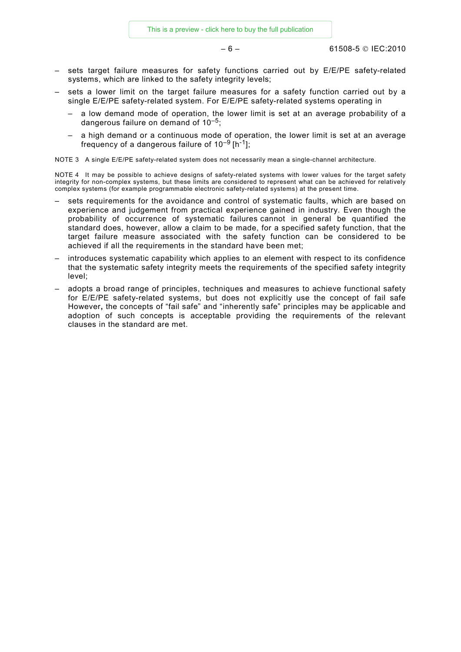$-6 - 6$  61508-5 © IEC:2010

- sets target failure measures for safety functions carried out by E/E/PE safety-related systems, which are linked to the safety integrity levels;
- sets a lower limit on the target failure measures for a safety function carried out by a single E/E/PE safety-related system. For E/E/PE safety-related systems operating in
	- a low demand mode of operation, the lower limit is set at an average probability of a dangerous failure on demand of 10–5;
	- a high demand or a continuous mode of operation, the lower limit is set at an average frequency of a dangerous failure of  $10^{-9}$  [h<sup>-1</sup>];
- NOTE 3 A single E/E/PE safety-related system does not necessarily mean a single-channel architecture.

NOTE 4 It may be possible to achieve designs of safety-related systems with lower values for the target safety integrity for non-complex systems, but these limits are considered to represent what can be achieved for relatively complex systems (for example programmable electronic safety-related systems) at the present time.

- sets requirements for the avoidance and control of systematic faults, which are based on experience and judgement from practical experience gained in industry. Even though the probability of occurrence of systematic failures cannot in general be quantified the standard does, however, allow a claim to be made, for a specified safety function, that the target failure measure associated with the safety function can be considered to be achieved if all the requirements in the standard have been met;
- introduces systematic capability which applies to an element with respect to its confidence that the systematic safety integrity meets the requirements of the specified safety integrity level;
- adopts a broad range of principles, techniques and measures to achieve functional safety for E/E/PE safety-related systems, but does not explicitly use the concept of fail safe However**,** the concepts of "fail safe" and "inherently safe" principles may be applicable and adoption of such concepts is acceptable providing the requirements of the relevant clauses in the standard are met.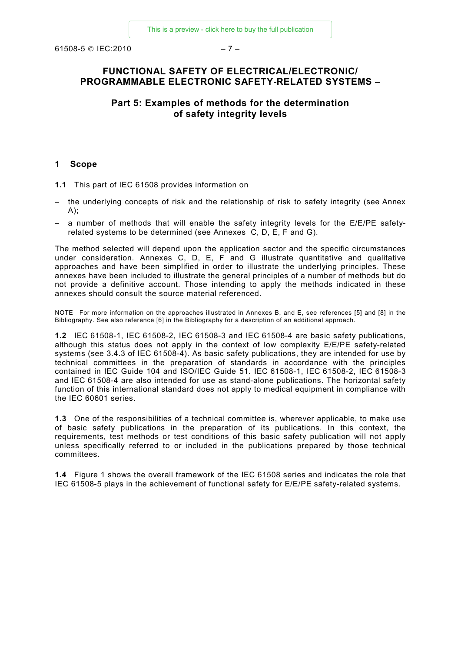<span id="page-6-0"></span> $61508 - 5 \odot 1FC:2010$   $-7 -$ 

#### **FUNCTIONAL SAFETY OF ELECTRICAL/ELECTRONIC/ PROGRAMMABLE ELECTRONIC SAFETY-RELATED SYSTEMS –**

#### **Part 5: Examples of methods for the determination of safety integrity levels**

#### **1 Scope**

- **1.1** This part of IEC 61508 provides information on
- the underlying concepts of risk and the relationship of risk to safety integrity (see Annex  $A$ );
- a number of methods that will enable the safety integrity levels for the E/E/PE safetyrelated systems to be determined (see Annexes C, D, E, F and G).

The method selected will depend upon the application sector and the specific circumstances under consideration. Annexes C, D, E, F and G illustrate quantitative and qualitative approaches and have been simplified in order to illustrate the underlying principles. These annexes have been included to illustrate the general principles of a number of methods but do not provide a definitive account. Those intending to apply the methods indicated in these annexes should consult the source material referenced.

NOTE For more information on the approaches illustrated in Annexes B, and E, see references [5] and [8] in the Bibliography. See also reference [6] in the Bibliography for a description of an additional approach.

**1.2** IEC 61508-1, IEC 61508-2, IEC 61508-3 and IEC 61508-4 are basic safety publications, although this status does not apply in the context of low complexity E/E/PE safety-related systems (see 3.4.3 of IEC 61508-4). As basic safety publications, they are intended for use by technical committees in the preparation of standards in accordance with the principles contained in IEC Guide 104 and ISO/IEC Guide 51. IEC 61508-1, IEC 61508-2, IEC 61508-3 and IEC 61508-4 are also intended for use as stand-alone publications. The horizontal safety function of this international standard does not apply to medical equipment in compliance with the IEC 60601 series.

**1.3** One of the responsibilities of a technical committee is, wherever applicable, to make use of basic safety publications in the preparation of its publications. In this context, the requirements, test methods or test conditions of this basic safety publication will not apply unless specifically referred to or included in the publications prepared by those technical committees.

**1.4** Figure 1 shows the overall framework of the IEC 61508 series and indicates the role that IEC 61508-5 plays in the achievement of functional safety for E/E/PE safety-related systems.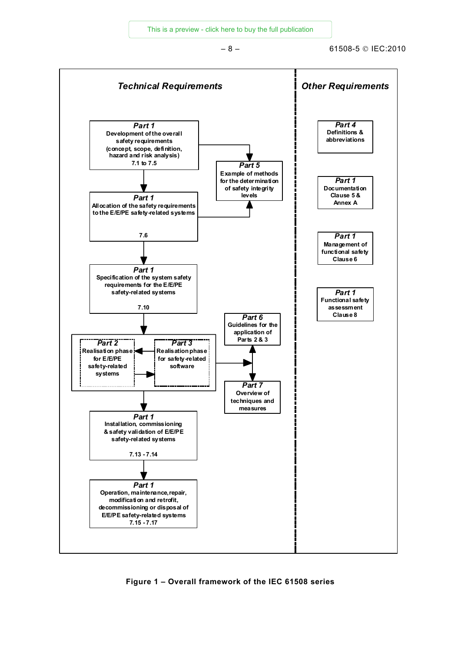[This is a preview - click here to buy the full publication](https://webstore.iec.ch/publication/5519&preview=1)

<span id="page-7-0"></span>

**Figure 1 – Overall framework of the IEC 61508 series**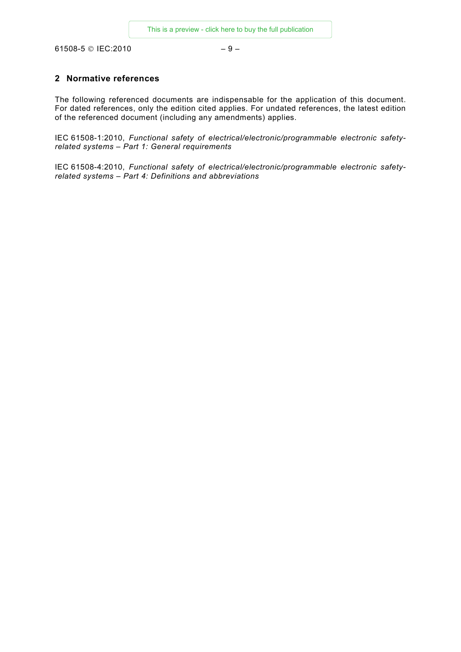<span id="page-8-0"></span> $61508 - 5$  © IEC:2010 – 9 –

#### **2 Normative references**

The following referenced documents are indispensable for the application of this document. For dated references, only the edition cited applies. For undated references, the latest edition of the referenced document (including any amendments) applies.

IEC 61508-1:2010, *Functional safety of electrical/electronic/programmable electronic safetyrelated systems – Part 1: General requirements* 

IEC 61508-4:2010, *Functional safety of electrical/electronic/programmable electronic safetyrelated systems – Part 4: Definitions and abbreviations*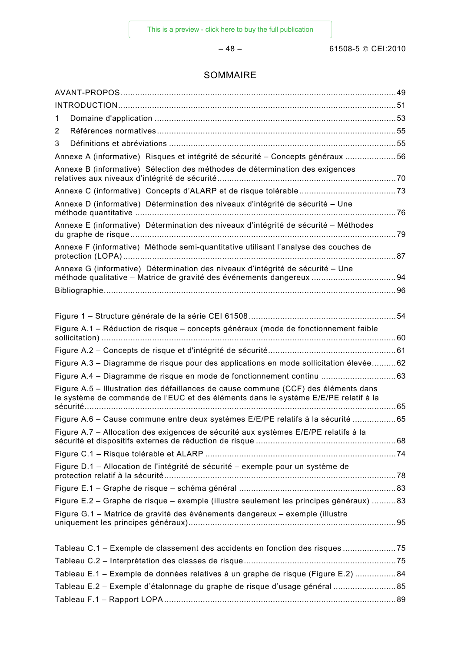### SOMMAIRE

| 1 |                                                                                                                                                                            |  |
|---|----------------------------------------------------------------------------------------------------------------------------------------------------------------------------|--|
| 2 |                                                                                                                                                                            |  |
| 3 |                                                                                                                                                                            |  |
|   | Annexe A (informative) Risques et intégrité de sécurité - Concepts généraux 56                                                                                             |  |
|   | Annexe B (informative) Sélection des méthodes de détermination des exigences                                                                                               |  |
|   |                                                                                                                                                                            |  |
|   | Annexe D (informative) Détermination des niveaux d'intégrité de sécurité – Une                                                                                             |  |
|   | Annexe E (informative) Détermination des niveaux d'intégrité de sécurité – Méthodes                                                                                        |  |
|   | Annexe F (informative) Méthode semi-quantitative utilisant l'analyse des couches de                                                                                        |  |
|   | Annexe G (informative) Détermination des niveaux d'intégrité de sécurité – Une                                                                                             |  |
|   |                                                                                                                                                                            |  |
|   |                                                                                                                                                                            |  |
|   | Figure A.1 - Réduction de risque - concepts généraux (mode de fonctionnement faible                                                                                        |  |
|   |                                                                                                                                                                            |  |
|   | Figure A.3 - Diagramme de risque pour des applications en mode sollicitation élevée62                                                                                      |  |
|   | Figure A.4 - Diagramme de risque en mode de fonctionnement continu  63                                                                                                     |  |
|   | Figure A.5 – Illustration des défaillances de cause commune (CCF) des éléments dans<br>le système de commande de l'EUC et des éléments dans le système E/E/PE relatif à la |  |
|   | Figure A.6 - Cause commune entre deux systèmes E/E/PE relatifs à la sécurité 65                                                                                            |  |
|   | Figure A.7 - Allocation des exigences de sécurité aux systèmes E/E/PE relatifs à la                                                                                        |  |
|   |                                                                                                                                                                            |  |
|   | Figure D.1 - Allocation de l'intégrité de sécurité - exemple pour un système de                                                                                            |  |
|   |                                                                                                                                                                            |  |
|   | Figure E.2 - Graphe de risque - exemple (illustre seulement les principes généraux) 83                                                                                     |  |
|   | Figure G.1 - Matrice de gravité des événements dangereux - exemple (illustre                                                                                               |  |
|   | Tableau C.1 – Exemple de classement des accidents en fonction des risques 75                                                                                               |  |
|   |                                                                                                                                                                            |  |
|   | Tableau E.1 - Exemple de données relatives à un graphe de risque (Figure E.2) 84                                                                                           |  |
|   | Tableau E.2 - Exemple d'étalonnage du graphe de risque d'usage général  85                                                                                                 |  |
|   |                                                                                                                                                                            |  |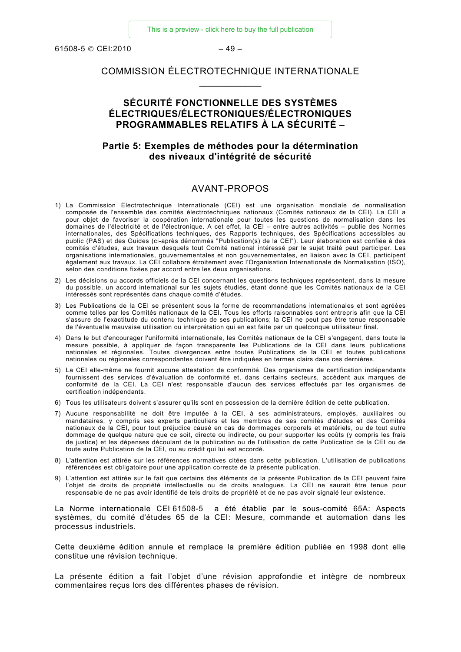<span id="page-10-0"></span> $61508 - 5 \circ \text{CE}$ :2010 – 49 –

#### COMMISSION ÉLECTROTECHNIQUE INTERNATIONALE  $\frac{1}{2}$  ,  $\frac{1}{2}$  ,  $\frac{1}{2}$  ,  $\frac{1}{2}$  ,  $\frac{1}{2}$  ,  $\frac{1}{2}$

#### **SÉCURITÉ FONCTIONNELLE DES SYSTÈMES ÉLECTRIQUES/ÉLECTRONIQUES/ÉLECTRONIQUES PROGRAMMABLES RELATIFS À LA SÉCURITÉ –**

#### **Partie 5: Exemples de méthodes pour la détermination des niveaux d'intégrité de sécurité**

#### AVANT-PROPOS

- 1) La Commission Electrotechnique Internationale (CEI) est une organisation mondiale de normalisation composée de l'ensemble des comités électrotechniques nationaux (Comités nationaux de la CEI). La CEI a pour objet de favoriser la coopération internationale pour toutes les questions de normalisation dans les domaines de l'électricité et de l'électronique. A cet effet, la CEI – entre autres activités – publie des Normes internationales, des Spécifications techniques, des Rapports techniques, des Spécifications accessibles au public (PAS) et des Guides (ci-après dénommés "Publication(s) de la CEI"). Leur élaboration est confiée à des comités d'études, aux travaux desquels tout Comité national intéressé par le sujet traité peut participer. Les organisations internationales, gouvernementales et non gouvernementales, en liaison avec la CEI, participent également aux travaux. La CEI collabore étroitement avec l'Organisation Internationale de Normalisation (ISO), selon des conditions fixées par accord entre les deux organisations.
- 2) Les décisions ou accords officiels de la CEI concernant les questions techniques représentent, dans la mesure du possible, un accord international sur les sujets étudiés, étant donné que les Comités nationaux de la CEI intéressés sont représentés dans chaque comité d'études.
- 3) Les Publications de la CEI se présentent sous la forme de recommandations internationales et sont agréées comme telles par les Comités nationaux de la CEI. Tous les efforts raisonnables sont entrepris afin que la CEI s'assure de l'exactitude du contenu technique de ses publications; la CEI ne peut pas être tenue responsable de l'éventuelle mauvaise utilisation ou interprétation qui en est faite par un quelconque utilisateur final.
- 4) Dans le but d'encourager l'uniformité internationale, les Comités nationaux de la CEI s'engagent, dans toute la mesure possible, à appliquer de façon transparente les Publications de la CEI dans leurs publications nationales et régionales. Toutes divergences entre toutes Publications de la CEI et toutes publications nationales ou régionales correspondantes doivent être indiquées en termes clairs dans ces dernières.
- 5) La CEI elle-même ne fournit aucune attestation de conformité. Des organismes de certification indépendants fournissent des services d'évaluation de conformité et, dans certains secteurs, accèdent aux marques de conformité de la CEI. La CEI n'est responsable d'aucun des services effectués par les organismes de certification indépendants.
- 6) Tous les utilisateurs doivent s'assurer qu'ils sont en possession de la dernière édition de cette publication.
- 7) Aucune responsabilité ne doit être imputée à la CEI, à ses administrateurs, employés, auxiliaires ou mandataires, y compris ses experts particuliers et les membres de ses comités d'études et des Comités nationaux de la CEI, pour tout préjudice causé en cas de dommages corporels et matériels, ou de tout autre dommage de quelque nature que ce soit, directe ou indirecte, ou pour supporter les coûts (y compris les frais de justice) et les dépenses découlant de la publication ou de l'utilisation de cette Publication de la CEI ou de toute autre Publication de la CEI, ou au crédit qui lui est accordé.
- 8) L'attention est attirée sur les références normatives citées dans cette publication. L'utilisation de publications référencées est obligatoire pour une application correcte de la présente publication.
- 9) L'attention est attirée sur le fait que certains des éléments de la présente Publication de la CEI peuvent faire l'objet de droits de propriété intellectuelle ou de droits analogues. La CEI ne saurait être tenue pour responsable de ne pas avoir identifié de tels droits de propriété et de ne pas avoir signalé leur existence.

La Norme internationale CEI 61508-5 a été établie par le sous-comité 65A: Aspects systèmes, du comité d'études 65 de la CEI: Mesure, commande et automation dans les processus industriels.

Cette deuxième édition annule et remplace la première édition publiée en 1998 dont elle constitue une révision technique.

La présente édition a fait l'objet d'une révision approfondie et intègre de nombreux commentaires reçus lors des différentes phases de révision.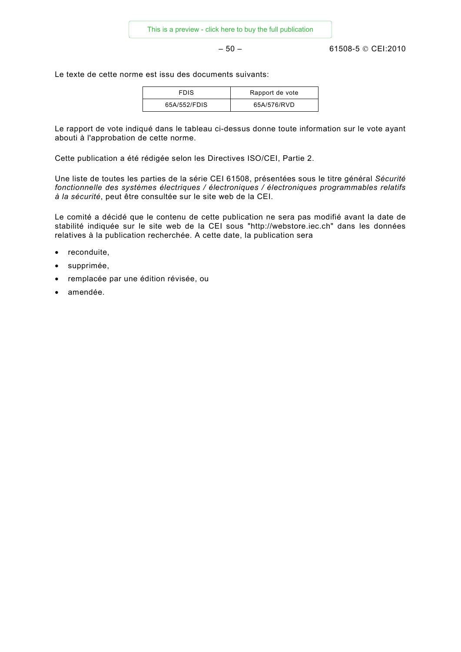– 50 – 61508-5 © CEI:2010

Le texte de cette norme est issu des documents suivants:

| <b>FDIS</b>  | Rapport de vote |
|--------------|-----------------|
| 65A/552/FDIS | 65A/576/RVD     |

Le rapport de vote indiqué dans le tableau ci-dessus donne toute information sur le vote ayant abouti à l'approbation de cette norme.

Cette publication a été rédigée selon les Directives ISO/CEI, Partie 2.

Une liste de toutes les parties de la série CEI 61508, présentées sous le titre général *Sécurité fonctionnelle des systèmes électriques / électroniques / électroniques programmables relatifs à la sécurité*, peut être consultée sur le site web de la CEI.

Le comité a décidé que le contenu de cette publication ne sera pas modifié avant la date de stabilité indiquée sur le site web de la CEI sous "http://webstore.iec.ch" dans les données relatives à la publication recherchée. A cette date, la publication sera

- reconduite,
- supprimée,
- remplacée par une édition révisée, ou
- amendée.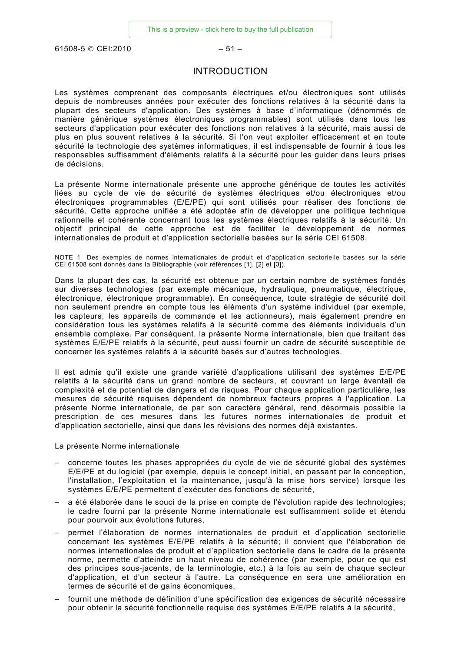<span id="page-12-0"></span> $61508-5$  © CFI:2010 – 51 –

#### INTRODUCTION

Les systèmes comprenant des composants électriques et/ou électroniques sont utilisés depuis de nombreuses années pour exécuter des fonctions relatives à la sécurité dans la plupart des secteurs d'application. Des systèmes à base d'informatique (dénommés de manière générique systèmes électroniques programmables) sont utilisés dans tous les secteurs d'application pour exécuter des fonctions non relatives à la sécurité, mais aussi de plus en plus souvent relatives à la sécurité. Si l'on veut exploiter efficacement et en toute sécurité la technologie des systèmes informatiques, il est indispensable de fournir à tous les responsables suffisamment d'éléments relatifs à la sécurité pour les guider dans leurs prises de décisions.

La présente Norme internationale présente une approche générique de toutes les activités liées au cycle de vie de sécurité de systèmes électriques et/ou électroniques et/ou électroniques programmables (E/E/PE) qui sont utilisés pour réaliser des fonctions de sécurité. Cette approche unifiée a été adoptée afin de développer une politique technique rationnelle et cohérente concernant tous les systèmes électriques relatifs à la sécurité. Un objectif principal de cette approche est de faciliter le développement de normes internationales de produit et d'application sectorielle basées sur la série CEI 61508.

NOTE 1 Des exemples de normes internationales de produit et d'application sectorielle basées sur la série CEI 61508 sont donnés dans la Bibliographie (voir références [1], [2] et [3]).

Dans la plupart des cas, la sécurité est obtenue par un certain nombre de systèmes fondés sur diverses technologies (par exemple mécanique, hydraulique, pneumatique, électrique, électronique, électronique programmable). En conséquence, toute stratégie de sécurité doit non seulement prendre en compte tous les éléments d'un système individuel (par exemple, les capteurs, les appareils de commande et les actionneurs), mais également prendre en considération tous les systèmes relatifs à la sécurité comme des éléments individuels d'un ensemble complexe. Par conséquent, la présente Norme internationale, bien que traitant des systèmes E/E/PE relatifs à la sécurité, peut aussi fournir un cadre de sécurité susceptible de concerner les systèmes relatifs à la sécurité basés sur d'autres technologies.

Il est admis qu'il existe une grande variété d'applications utilisant des systèmes E/E/PE relatifs à la sécurité dans un grand nombre de secteurs, et couvrant un large éventail de complexité et de potentiel de dangers et de risques. Pour chaque application particulière, les mesures de sécurité requises dépendent de nombreux facteurs propres à l'application. La présente Norme internationale, de par son caractère général, rend désormais possible la prescription de ces mesures dans les futures normes internationales de produit et d'application sectorielle, ainsi que dans les révisions des normes déjà existantes.

La présente Norme internationale

- concerne toutes les phases appropriées du cycle de vie de sécurité global des systèmes E/E/PE et du logiciel (par exemple, depuis le concept initial, en passant par la conception, l'installation, l'exploitation et la maintenance, jusqu'à la mise hors service) lorsque les systèmes E/E/PE permettent d'exécuter des fonctions de sécurité,
- a été élaborée dans le souci de la prise en compte de l'évolution rapide des technologies; le cadre fourni par la présente Norme internationale est suffisamment solide et étendu pour pourvoir aux évolutions futures,
- permet l'élaboration de normes internationales de produit et d'application sectorielle concernant les systèmes E/E/PE relatifs à la sécurité; il convient que l'élaboration de normes internationales de produit et d'application sectorielle dans le cadre de la présente norme, permette d'atteindre un haut niveau de cohérence (par exemple, pour ce qui est des principes sous-jacents, de la terminologie, etc.) à la fois au sein de chaque secteur d'application, et d'un secteur à l'autre. La conséquence en sera une amélioration en termes de sécurité et de gains économiques,
- fournit une méthode de définition d'une spécification des exigences de sécurité nécessaire pour obtenir la sécurité fonctionnelle requise des systèmes E/E/PE relatifs à la sécurité,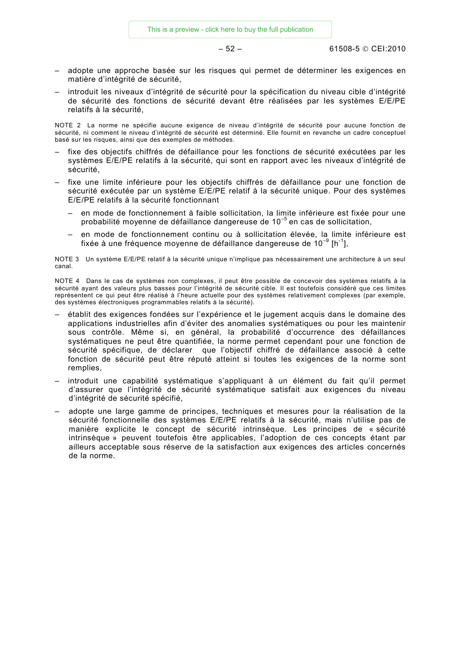– 52 – 61508-5 © CEI:2010

- adopte une approche basée sur les risques qui permet de déterminer les exigences en matière d'intégrité de sécurité,
- introduit les niveaux d'intégrité de sécurité pour la spécification du niveau cible d'intégrité de sécurité des fonctions de sécurité devant être réalisées par les systèmes E/E/PE relatifs à la sécurité,

NOTE 2 La norme ne spécifie aucune exigence de niveau d'intégrité de sécurité pour aucune fonction de sécurité, ni comment le niveau d'intégrité de sécurité est déterminé. Elle fournit en revanche un cadre conceptuel basé sur les risques, ainsi que des exemples de méthodes.

- fixe des objectifs chiffrés de défaillance pour les fonctions de sécurité exécutées par les systèmes E/E/PE relatifs à la sécurité, qui sont en rapport avec les niveaux d'intégrité de sécurité,
- fixe une limite inférieure pour les objectifs chiffrés de défaillance pour une fonction de sécurité exécutée par un système E/E/PE relatif à la sécurité unique. Pour des systèmes E/E/PE relatifs à la sécurité fonctionnant
	- en mode de fonctionnement à faible sollicitation, la limite inférieure est fixée pour une probabilité moyenne de défaillance dangereuse de  $10^{-5}$  en cas de sollicitation,
	- en mode de fonctionnement continu ou à sollicitation élevée, la limite inférieure est fixée à une fréquence moyenne de défaillance dangereuse de  $10^{-9}$  [h<sup>-1</sup>],

NOTE 3 Un système E/E/PE relatif à la sécurité unique n'implique pas nécessairement une architecture à un seul canal.

NOTE 4 Dans le cas de systèmes non complexes, il peut être possible de concevoir des systèmes relatifs à la sécurité ayant des valeurs plus basses pour l'intégrité de sécurité cible. Il est toutefois considéré que ces limites représentent ce qui peut être réalisé à l'heure actuelle pour des systèmes relativement complexes (par exemple, des systèmes électroniques programmables relatifs à la sécurité).

- établit des exigences fondées sur l'expérience et le jugement acquis dans le domaine des applications industrielles afin d'éviter des anomalies systématiques ou pour les maintenir sous contrôle. Même si, en général, la probabilité d'occurrence des défaillances systématiques ne peut être quantifiée, la norme permet cependant pour une fonction de sécurité spécifique, de déclarer que l'objectif chiffré de défaillance associé à cette fonction de sécurité peut être réputé atteint si toutes les exigences de la norme sont remplies,
- introduit une capabilité systématique s'appliquant à un élément du fait qu'il permet d'assurer que l'intégrité de sécurité systématique satisfait aux exigences du niveau d'intégrité de sécurité spécifié,
- adopte une large gamme de principes, techniques et mesures pour la réalisation de la sécurité fonctionnelle des systèmes E/E/PE relatifs à la sécurité, mais n'utilise pas de manière explicite le concept de sécurité intrinsèque. Les principes de « sécurité intrinsèque » peuvent toutefois être applicables, l'adoption de ces concepts étant par ailleurs acceptable sous réserve de la satisfaction aux exigences des articles concernés de la norme.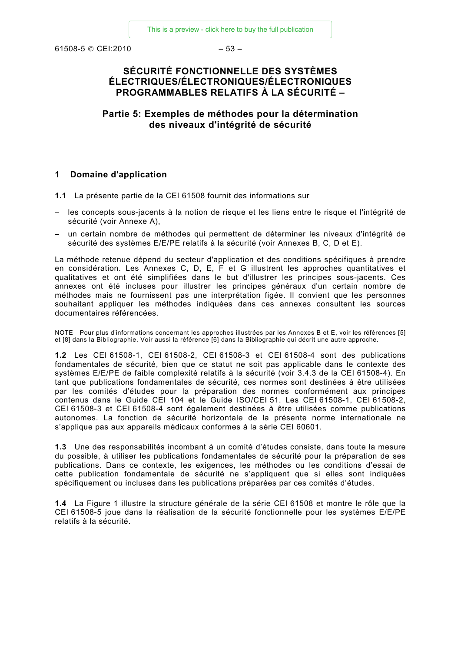<span id="page-14-0"></span> $61508 - 5$  © CEI:2010 – 53

#### **SÉCURITÉ FONCTIONNELLE DES SYSTÈMES ÉLECTRIQUES/ÉLECTRONIQUES/ÉLECTRONIQUES PROGRAMMABLES RELATIFS À LA SÉCURITÉ –**

**Partie 5: Exemples de méthodes pour la détermination des niveaux d'intégrité de sécurité** 

#### **1 Domaine d'application**

- **1.1** La présente partie de la CEI 61508 fournit des informations sur
- les concepts sous-jacents à la notion de risque et les liens entre le risque et l'intégrité de sécurité (voir Annexe A),
- un certain nombre de méthodes qui permettent de déterminer les niveaux d'intégrité de sécurité des systèmes E/E/PE relatifs à la sécurité (voir Annexes B, C, D et E).

La méthode retenue dépend du secteur d'application et des conditions spécifiques à prendre en considération. Les Annexes C, D, E, F et G illustrent les approches quantitatives et qualitatives et ont été simplifiées dans le but d'illustrer les principes sous-jacents. Ces annexes ont été incluses pour illustrer les principes généraux d'un certain nombre de méthodes mais ne fournissent pas une interprétation figée. Il convient que les personnes souhaitant appliquer les méthodes indiquées dans ces annexes consultent les sources documentaires référencées.

NOTE Pour plus d'informations concernant les approches illustrées par les Annexes B et E, voir les références [5] et [8] dans la Bibliographie. Voir aussi la référence [6] dans la Bibliographie qui décrit une autre approche.

**1.2** Les CEI 61508-1, CEI 61508-2, CEI 61508-3 et CEI 61508-4 sont des publications fondamentales de sécurité, bien que ce statut ne soit pas applicable dans le contexte des systèmes E/E/PE de faible complexité relatifs à la sécurité (voir 3.4.3 de la CEI 61508-4). En tant que publications fondamentales de sécurité, ces normes sont destinées à être utilisées par les comités d'études pour la préparation des normes conformément aux principes contenus dans le Guide CEI 104 et le Guide ISO/CEI 51. Les CEI 61508-1, CEI 61508-2, CEI 61508-3 et CEI 61508-4 sont également destinées à être utilisées comme publications autonomes. La fonction de sécurité horizontale de la présente norme internationale ne s'applique pas aux appareils médicaux conformes à la série CEI 60601.

**1.3** Une des responsabilités incombant à un comité d'études consiste, dans toute la mesure du possible, à utiliser les publications fondamentales de sécurité pour la préparation de ses publications. Dans ce contexte, les exigences, les méthodes ou les conditions d'essai de cette publication fondamentale de sécurité ne s'appliquent que si elles sont indiquées spécifiquement ou incluses dans les publications préparées par ces comités d'études.

**1.4** La Figure 1 illustre la structure générale de la série CEI 61508 et montre le rôle que la CEI 61508-5 joue dans la réalisation de la sécurité fonctionnelle pour les systèmes E/E/PE relatifs à la sécurité.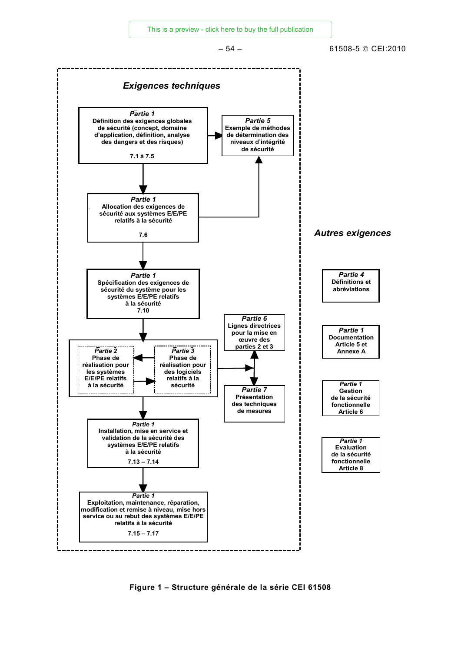[This is a preview - click here to buy the full publication](https://webstore.iec.ch/publication/5519&preview=1)

– 54 – 61508-5 © CEI:2010

<span id="page-15-0"></span>

**Figure 1 – Structure générale de la série CEI 61508**